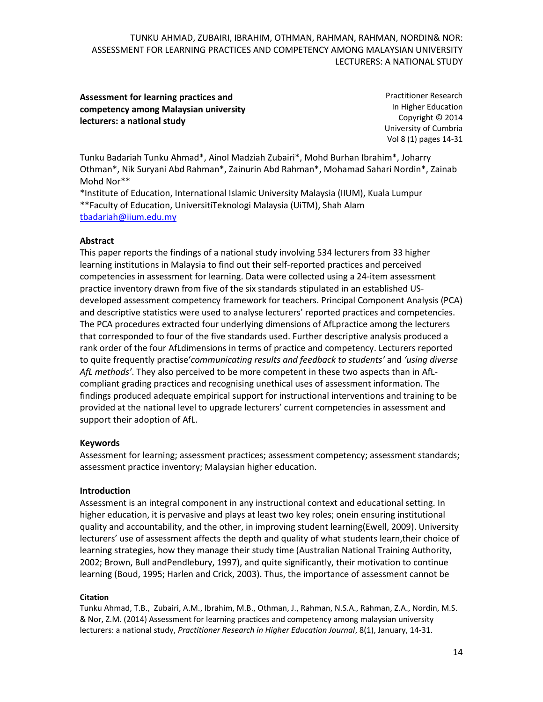# **Assessment for learning practices and competency among Malaysian university lecturers: a national study**

Practitioner Research In Higher Education Copyright © 2014 University of Cumbria Vol 8 (1) pages 14-31

Tunku Badariah Tunku Ahmad\*, Ainol Madziah Zubairi\*, Mohd Burhan Ibrahim\*, Joharry Othman\*, Nik Suryani Abd Rahman\*, Zainurin Abd Rahman\*, Mohamad Sahari Nordin\*, Zainab Mohd Nor\*\*

\*Institute of Education, International Islamic University Malaysia (IIUM), Kuala Lumpur \*\*Faculty of Education, UniversitiTeknologi Malaysia (UiTM), Shah Alam [tbadariah@iium.edu.my](mailto:tbadariah@iium.edu.my)

# **Abstract**

This paper reports the findings of a national study involving 534 lecturers from 33 higher learning institutions in Malaysia to find out their self-reported practices and perceived competencies in assessment for learning. Data were collected using a 24-item assessment practice inventory drawn from five of the six standards stipulated in an established USdeveloped assessment competency framework for teachers. Principal Component Analysis (PCA) and descriptive statistics were used to analyse lecturers' reported practices and competencies. The PCA procedures extracted four underlying dimensions of AfLpractice among the lecturers that corresponded to four of the five standards used. Further descriptive analysis produced a rank order of the four AfLdimensions in terms of practice and competency. Lecturers reported to quite frequently practise'*communicating results and feedback to students'* and *'using diverse AfL methods'*. They also perceived to be more competent in these two aspects than in AfLcompliant grading practices and recognising unethical uses of assessment information. The findings produced adequate empirical support for instructional interventions and training to be provided at the national level to upgrade lecturers' current competencies in assessment and support their adoption of AfL.

### **Keywords**

Assessment for learning; assessment practices; assessment competency; assessment standards; assessment practice inventory; Malaysian higher education.

# **Introduction**

Assessment is an integral component in any instructional context and educational setting. In higher education, it is pervasive and plays at least two key roles; onein ensuring institutional quality and accountability, and the other, in improving student learning(Ewell, 2009). University lecturers' use of assessment affects the depth and quality of what students learn,their choice of learning strategies, how they manage their study time (Australian National Training Authority, 2002; Brown, Bull andPendlebury, 1997), and quite significantly, their motivation to continue learning (Boud, 1995; Harlen and Crick, 2003). Thus, the importance of assessment cannot be

# **Citation**

Tunku Ahmad, T.B., Zubairi, A.M., Ibrahim, M.B., Othman, J., Rahman, N.S.A., Rahman, Z.A., Nordin, M.S. & Nor, Z.M. (2014) Assessment for learning practices and competency among malaysian university lecturers: a national study, *Practitioner Research in Higher Education Journal*, 8(1), January, 14-31.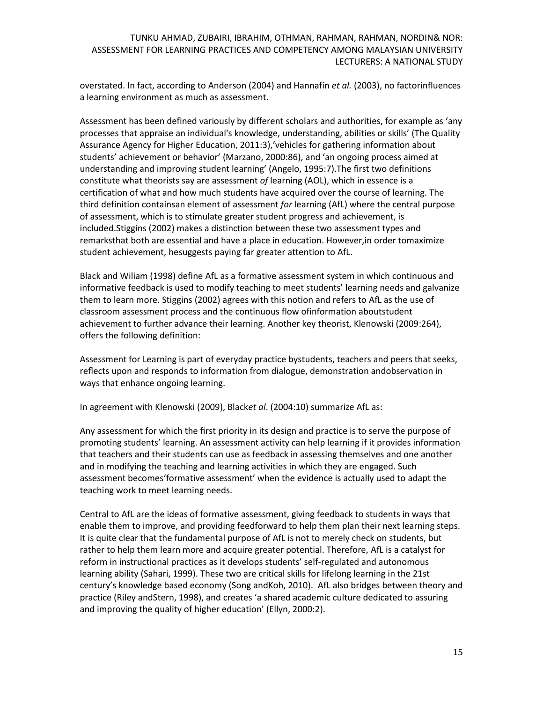overstated. In fact, according to Anderson (2004) and Hannafin *et al.* (2003), no factorinfluences a learning environment as much as assessment.

Assessment has been defined variously by different scholars and authorities, for example as 'any processes that appraise an individual's knowledge, understanding, abilities or skills' (The Quality Assurance Agency for Higher Education, 2011:3),'vehicles for gathering information about students' achievement or behavior' (Marzano, 2000:86), and 'an ongoing process aimed at understanding and improving student learning' (Angelo, 1995:7).The first two definitions constitute what theorists say are assessment *of* learning (AOL), which in essence is a certification of what and how much students have acquired over the course of learning. The third definition containsan element of assessment *for* learning (AfL) where the central purpose of assessment, which is to stimulate greater student progress and achievement, is included.Stiggins (2002) makes a distinction between these two assessment types and remarksthat both are essential and have a place in education. However,in order tomaximize student achievement, hesuggests paying far greater attention to AfL.

Black and Wiliam (1998) define AfL as a formative assessment system in which continuous and informative feedback is used to modify teaching to meet students' learning needs and galvanize them to learn more. Stiggins (2002) agrees with this notion and refers to AfL as the use of classroom assessment process and the continuous flow ofinformation aboutstudent achievement to further advance their learning. Another key theorist, Klenowski (2009:264), offers the following definition:

Assessment for Learning is part of everyday practice bystudents, teachers and peers that seeks, reflects upon and responds to information from dialogue, demonstration andobservation in ways that enhance ongoing learning.

In agreement with Klenowski (2009), Black*et al*. (2004:10) summarize AfL as:

Any assessment for which the first priority in its design and practice is to serve the purpose of promoting students' learning. An assessment activity can help learning if it provides information that teachers and their students can use as feedback in assessing themselves and one another and in modifying the teaching and learning activities in which they are engaged. Such assessment becomes'formative assessment' when the evidence is actually used to adapt the teaching work to meet learning needs.

Central to AfL are the ideas of formative assessment, giving feedback to students in ways that enable them to improve, and providing feedforward to help them plan their next learning steps. It is quite clear that the fundamental purpose of AfL is not to merely check on students, but rather to help them learn more and acquire greater potential. Therefore, AfL is a catalyst for reform in instructional practices as it develops students' self-regulated and autonomous learning ability (Sahari, 1999). These two are critical skills for lifelong learning in the 21st century's knowledge based economy (Song andKoh, 2010). AfL also bridges between theory and practice (Riley andStern, 1998), and creates 'a shared academic culture dedicated to assuring and improving the quality of higher education' (Ellyn, 2000:2).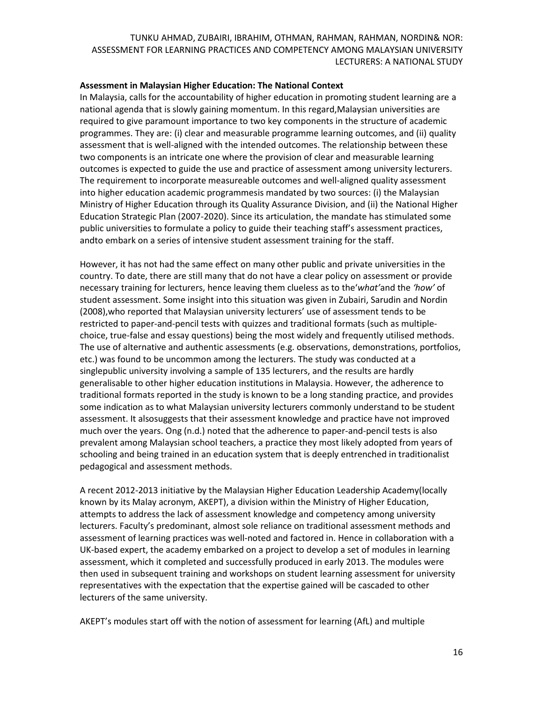#### **Assessment in Malaysian Higher Education: The National Context**

In Malaysia, calls for the accountability of higher education in promoting student learning are a national agenda that is slowly gaining momentum. In this regard,Malaysian universities are required to give paramount importance to two key components in the structure of academic programmes. They are: (i) clear and measurable programme learning outcomes, and (ii) quality assessment that is well-aligned with the intended outcomes. The relationship between these two components is an intricate one where the provision of clear and measurable learning outcomes is expected to guide the use and practice of assessment among university lecturers. The requirement to incorporate measureable outcomes and well-aligned quality assessment into higher education academic programmesis mandated by two sources: (i) the Malaysian Ministry of Higher Education through its Quality Assurance Division, and (ii) the National Higher Education Strategic Plan (2007-2020). Since its articulation, the mandate has stimulated some public universities to formulate a policy to guide their teaching staff's assessment practices, andto embark on a series of intensive student assessment training for the staff.

However, it has not had the same effect on many other public and private universities in the country. To date, there are still many that do not have a clear policy on assessment or provide necessary training for lecturers, hence leaving them clueless as to the'*what'*and the *'how'* of student assessment. Some insight into this situation was given in Zubairi, Sarudin and Nordin (2008),who reported that Malaysian university lecturers' use of assessment tends to be restricted to paper-and-pencil tests with quizzes and traditional formats (such as multiplechoice, true-false and essay questions) being the most widely and frequently utilised methods. The use of alternative and authentic assessments (e.g. observations, demonstrations, portfolios, etc.) was found to be uncommon among the lecturers. The study was conducted at a singlepublic university involving a sample of 135 lecturers, and the results are hardly generalisable to other higher education institutions in Malaysia. However, the adherence to traditional formats reported in the study is known to be a long standing practice, and provides some indication as to what Malaysian university lecturers commonly understand to be student assessment. It alsosuggests that their assessment knowledge and practice have not improved much over the years. Ong (n.d.) noted that the adherence to paper-and-pencil tests is also prevalent among Malaysian school teachers, a practice they most likely adopted from years of schooling and being trained in an education system that is deeply entrenched in traditionalist pedagogical and assessment methods.

A recent 2012-2013 initiative by the Malaysian Higher Education Leadership Academy(locally known by its Malay acronym, AKEPT), a division within the Ministry of Higher Education, attempts to address the lack of assessment knowledge and competency among university lecturers. Faculty's predominant, almost sole reliance on traditional assessment methods and assessment of learning practices was well-noted and factored in. Hence in collaboration with a UK-based expert, the academy embarked on a project to develop a set of modules in learning assessment, which it completed and successfully produced in early 2013. The modules were then used in subsequent training and workshops on student learning assessment for university representatives with the expectation that the expertise gained will be cascaded to other lecturers of the same university.

AKEPT's modules start off with the notion of assessment for learning (AfL) and multiple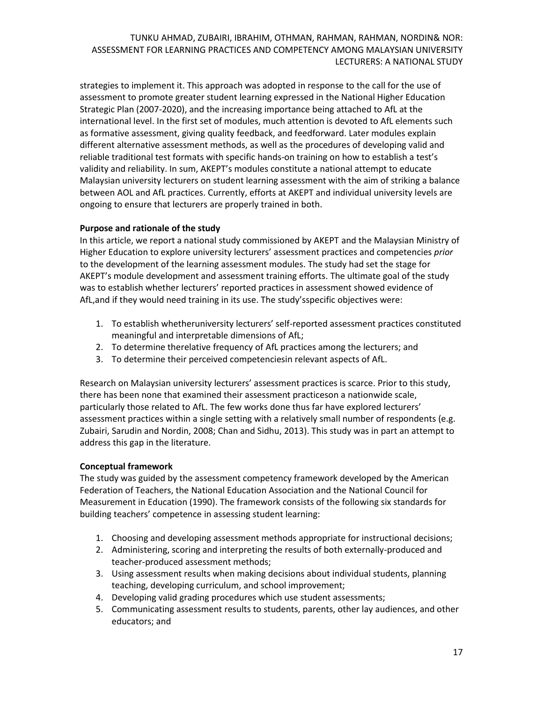strategies to implement it. This approach was adopted in response to the call for the use of assessment to promote greater student learning expressed in the National Higher Education Strategic Plan (2007-2020), and the increasing importance being attached to AfL at the international level. In the first set of modules, much attention is devoted to AfL elements such as formative assessment, giving quality feedback, and feedforward. Later modules explain different alternative assessment methods, as well as the procedures of developing valid and reliable traditional test formats with specific hands-on training on how to establish a test's validity and reliability. In sum, AKEPT's modules constitute a national attempt to educate Malaysian university lecturers on student learning assessment with the aim of striking a balance between AOL and AfL practices. Currently, efforts at AKEPT and individual university levels are ongoing to ensure that lecturers are properly trained in both.

# **Purpose and rationale of the study**

In this article, we report a national study commissioned by AKEPT and the Malaysian Ministry of Higher Education to explore university lecturers' assessment practices and competencies *prior* to the development of the learning assessment modules. The study had set the stage for AKEPT's module development and assessment training efforts. The ultimate goal of the study was to establish whether lecturers' reported practices in assessment showed evidence of AfL,and if they would need training in its use. The study'sspecific objectives were:

- 1. To establish whetheruniversity lecturers' self-reported assessment practices constituted meaningful and interpretable dimensions of AfL;
- 2. To determine therelative frequency of AfL practices among the lecturers; and
- 3. To determine their perceived competenciesin relevant aspects of AfL.

Research on Malaysian university lecturers' assessment practices is scarce. Prior to this study, there has been none that examined their assessment practiceson a nationwide scale, particularly those related to AfL. The few works done thus far have explored lecturers' assessment practices within a single setting with a relatively small number of respondents (e.g. Zubairi, Sarudin and Nordin, 2008; Chan and Sidhu, 2013). This study was in part an attempt to address this gap in the literature.

# **Conceptual framework**

The study was guided by the assessment competency framework developed by the American Federation of Teachers, the National Education Association and the National Council for Measurement in Education (1990). The framework consists of the following six standards for building teachers' competence in assessing student learning:

- 1. Choosing and developing assessment methods appropriate for instructional decisions;
- 2. Administering, scoring and interpreting the results of both externally-produced and teacher-produced assessment methods;
- 3. Using assessment results when making decisions about individual students, planning teaching, developing curriculum, and school improvement;
- 4. Developing valid grading procedures which use student assessments;
- 5. Communicating assessment results to students, parents, other lay audiences, and other educators; and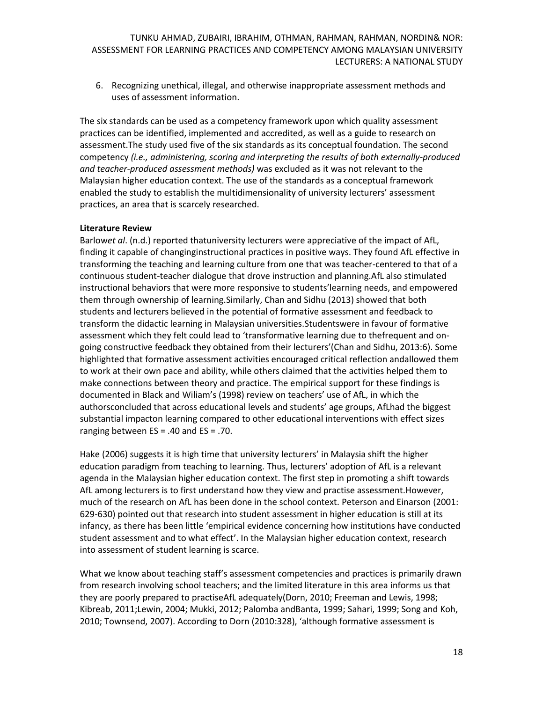6. Recognizing unethical, illegal, and otherwise inappropriate assessment methods and uses of assessment information.

The six standards can be used as a competency framework upon which quality assessment practices can be identified, implemented and accredited, as well as a guide to research on assessment.The study used five of the six standards as its conceptual foundation. The second competency *(i.e., administering, scoring and interpreting the results of both externally-produced and teacher-produced assessment methods)* was excluded as it was not relevant to the Malaysian higher education context. The use of the standards as a conceptual framework enabled the study to establish the multidimensionality of university lecturers' assessment practices, an area that is scarcely researched.

#### **Literature Review**

Barlow*et al*. (n.d.) reported thatuniversity lecturers were appreciative of the impact of AfL, finding it capable of changinginstructional practices in positive ways. They found AfL effective in transforming the teaching and learning culture from one that was teacher-centered to that of a continuous student-teacher dialogue that drove instruction and planning.AfL also stimulated instructional behaviors that were more responsive to students'learning needs, and empowered them through ownership of learning.Similarly, Chan and Sidhu (2013) showed that both students and lecturers believed in the potential of formative assessment and feedback to transform the didactic learning in Malaysian universities.Studentswere in favour of formative assessment which they felt could lead to 'transformative learning due to thefrequent and ongoing constructive feedback they obtained from their lecturers'(Chan and Sidhu, 2013:6). Some highlighted that formative assessment activities encouraged critical reflection andallowed them to work at their own pace and ability, while others claimed that the activities helped them to make connections between theory and practice. The empirical support for these findings is documented in Black and Wiliam's (1998) review on teachers' use of AfL, in which the authorsconcluded that across educational levels and students' age groups, AfLhad the biggest substantial impacton learning compared to other educational interventions with effect sizes ranging between ES = .40 and ES = .70.

Hake (2006) suggests it is high time that university lecturers' in Malaysia shift the higher education paradigm from teaching to learning. Thus, lecturers' adoption of AfL is a relevant agenda in the Malaysian higher education context. The first step in promoting a shift towards AfL among lecturers is to first understand how they view and practise assessment.However, much of the research on AfL has been done in the school context. Peterson and Einarson (2001: 629-630) pointed out that research into student assessment in higher education is still at its infancy, as there has been little 'empirical evidence concerning how institutions have conducted student assessment and to what effect'. In the Malaysian higher education context, research into assessment of student learning is scarce.

What we know about teaching staff's assessment competencies and practices is primarily drawn from research involving school teachers; and the limited literature in this area informs us that they are poorly prepared to practiseAfL adequately(Dorn, 2010; Freeman and Lewis, 1998; Kibreab, 2011;Lewin, 2004; Mukki, 2012; Palomba andBanta, 1999; Sahari, 1999; Song and Koh, 2010; Townsend, 2007). According to Dorn (2010:328), 'although formative assessment is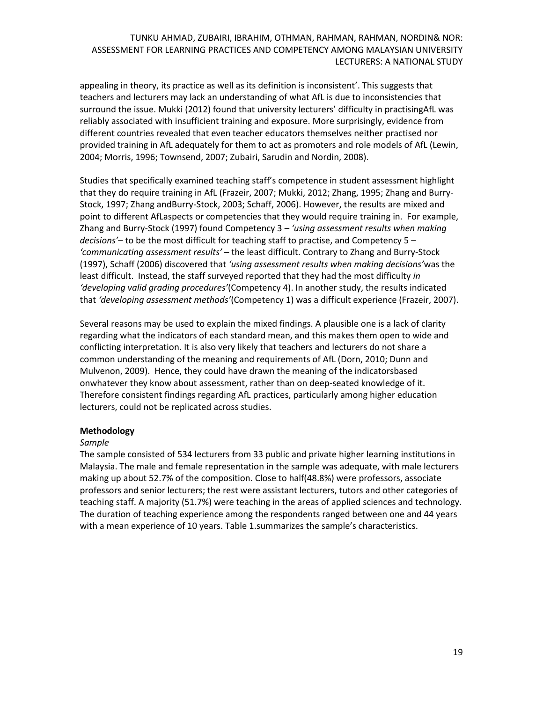appealing in theory, its practice as well as its definition is inconsistent'. This suggests that teachers and lecturers may lack an understanding of what AfL is due to inconsistencies that surround the issue. Mukki (2012) found that university lecturers' difficulty in practisingAfL was reliably associated with insufficient training and exposure. More surprisingly, evidence from different countries revealed that even teacher educators themselves neither practised nor provided training in AfL adequately for them to act as promoters and role models of AfL (Lewin, 2004; Morris, 1996; Townsend, 2007; Zubairi, Sarudin and Nordin, 2008).

Studies that specifically examined teaching staff's competence in student assessment highlight that they do require training in AfL (Frazeir, 2007; Mukki, 2012; Zhang, 1995; Zhang and Burry-Stock, 1997; Zhang andBurry-Stock, 2003; Schaff, 2006). However, the results are mixed and point to different AfLaspects or competencies that they would require training in. For example, Zhang and Burry-Stock (1997) found Competency 3 – *'using assessment results when making decisions'*– to be the most difficult for teaching staff to practise, and Competency 5 – *'communicating assessment results'* – the least difficult. Contrary to Zhang and Burry-Stock (1997), Schaff (2006) discovered that *'using assessment results when making decisions'*was the least difficult. Instead, the staff surveyed reported that they had the most difficulty *in 'developing valid grading procedures'*(Competency 4). In another study, the results indicated that *'developing assessment methods'*(Competency 1) was a difficult experience (Frazeir, 2007).

Several reasons may be used to explain the mixed findings. A plausible one is a lack of clarity regarding what the indicators of each standard mean, and this makes them open to wide and conflicting interpretation. It is also very likely that teachers and lecturers do not share a common understanding of the meaning and requirements of AfL (Dorn, 2010; Dunn and Mulvenon, 2009). Hence, they could have drawn the meaning of the indicatorsbased onwhatever they know about assessment, rather than on deep-seated knowledge of it. Therefore consistent findings regarding AfL practices, particularly among higher education lecturers, could not be replicated across studies.

### **Methodology**

### *Sample*

The sample consisted of 534 lecturers from 33 public and private higher learning institutions in Malaysia. The male and female representation in the sample was adequate, with male lecturers making up about 52.7% of the composition. Close to half(48.8%) were professors, associate professors and senior lecturers; the rest were assistant lecturers, tutors and other categories of teaching staff. A majority (51.7%) were teaching in the areas of applied sciences and technology. The duration of teaching experience among the respondents ranged between one and 44 years with a mean experience of 10 years. Table 1.summarizes the sample's characteristics.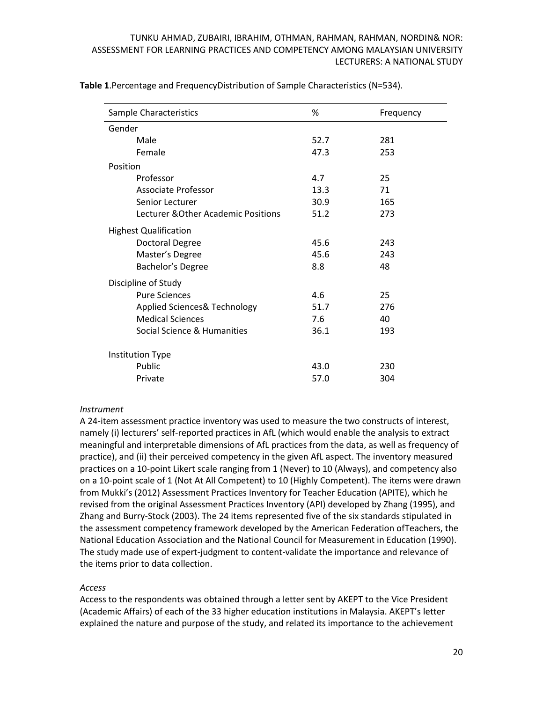| Sample Characteristics              | %    | Frequency |  |  |
|-------------------------------------|------|-----------|--|--|
| Gender                              |      |           |  |  |
| Male                                | 52.7 | 281       |  |  |
| Female                              | 47.3 | 253       |  |  |
| Position                            |      |           |  |  |
| Professor                           | 4.7  | 25        |  |  |
| Associate Professor                 | 13.3 | 71        |  |  |
| Senior Lecturer                     | 30.9 | 165       |  |  |
| Lecturer & Other Academic Positions | 51.2 | 273       |  |  |
| <b>Highest Qualification</b>        |      |           |  |  |
| <b>Doctoral Degree</b>              | 45.6 | 243       |  |  |
| Master's Degree                     | 45.6 | 243       |  |  |
| Bachelor's Degree                   | 8.8  | 48        |  |  |
| Discipline of Study                 |      |           |  |  |
| <b>Pure Sciences</b>                | 4.6  | 25        |  |  |
| Applied Sciences& Technology        | 51.7 | 276       |  |  |
| <b>Medical Sciences</b>             | 7.6  | 40        |  |  |
| Social Science & Humanities         | 36.1 | 193       |  |  |
| <b>Institution Type</b>             |      |           |  |  |
| Public                              | 43.0 | 230       |  |  |
| Private                             | 57.0 | 304       |  |  |

**Table 1**.Percentage and FrequencyDistribution of Sample Characteristics (N=534).

### *Instrument*

A 24-item assessment practice inventory was used to measure the two constructs of interest, namely (i) lecturers' self-reported practices in AfL (which would enable the analysis to extract meaningful and interpretable dimensions of AfL practices from the data, as well as frequency of practice), and (ii) their perceived competency in the given AfL aspect. The inventory measured practices on a 10-point Likert scale ranging from 1 (Never) to 10 (Always), and competency also on a 10-point scale of 1 (Not At All Competent) to 10 (Highly Competent). The items were drawn from Mukki's (2012) Assessment Practices Inventory for Teacher Education (APITE), which he revised from the original Assessment Practices Inventory (API) developed by Zhang (1995), and Zhang and Burry-Stock (2003). The 24 items represented five of the six standards stipulated in the assessment competency framework developed by the American Federation ofTeachers, the National Education Association and the National Council for Measurement in Education (1990). The study made use of expert-judgment to content-validate the importance and relevance of the items prior to data collection.

### *Access*

Access to the respondents was obtained through a letter sent by AKEPT to the Vice President (Academic Affairs) of each of the 33 higher education institutions in Malaysia. AKEPT's letter explained the nature and purpose of the study, and related its importance to the achievement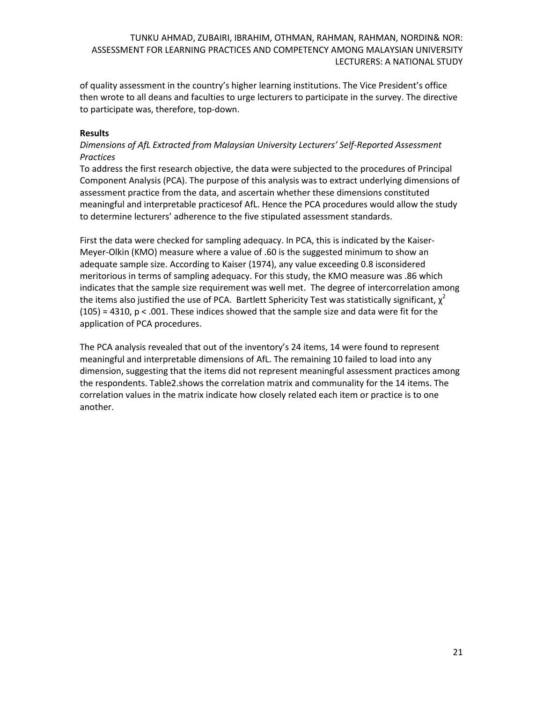of quality assessment in the country's higher learning institutions. The Vice President's office then wrote to all deans and faculties to urge lecturers to participate in the survey. The directive to participate was, therefore, top-down.

#### **Results**

# *Dimensions of AfL Extracted from Malaysian University Lecturers' Self-Reported Assessment Practices*

To address the first research objective, the data were subjected to the procedures of Principal Component Analysis (PCA). The purpose of this analysis was to extract underlying dimensions of assessment practice from the data, and ascertain whether these dimensions constituted meaningful and interpretable practicesof AfL. Hence the PCA procedures would allow the study to determine lecturers' adherence to the five stipulated assessment standards.

First the data were checked for sampling adequacy. In PCA, this is indicated by the Kaiser-Meyer-Olkin (KMO) measure where a value of .60 is the suggested minimum to show an adequate sample size. According to Kaiser (1974), any value exceeding 0.8 isconsidered meritorious in terms of sampling adequacy. For this study, the KMO measure was .86 which indicates that the sample size requirement was well met. The degree of intercorrelation among the items also justified the use of PCA. Bartlett Sphericity Test was statistically significant,  $\chi^2$  $(105)$  = 4310, p < .001. These indices showed that the sample size and data were fit for the application of PCA procedures.

The PCA analysis revealed that out of the inventory's 24 items, 14 were found to represent meaningful and interpretable dimensions of AfL. The remaining 10 failed to load into any dimension, suggesting that the items did not represent meaningful assessment practices among the respondents. Table2.shows the correlation matrix and communality for the 14 items. The correlation values in the matrix indicate how closely related each item or practice is to one another.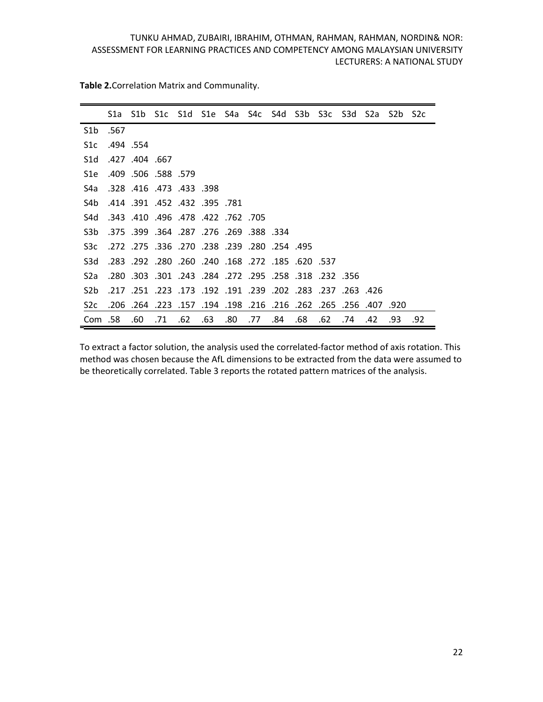|                  |      | S1a S1b S1c S1d S1e S4a S4c S4d S3b S3c S3d S2a S2b S2c          |     |     |     |     |     |     |     |     |     |     |      |     |
|------------------|------|------------------------------------------------------------------|-----|-----|-----|-----|-----|-----|-----|-----|-----|-----|------|-----|
| S1b              | .567 |                                                                  |     |     |     |     |     |     |     |     |     |     |      |     |
| S1c              |      | .494.554                                                         |     |     |     |     |     |     |     |     |     |     |      |     |
| S <sub>1</sub> d |      | .427 .404 .667                                                   |     |     |     |     |     |     |     |     |     |     |      |     |
| S1e              |      | .409 .506 .588 .579                                              |     |     |     |     |     |     |     |     |     |     |      |     |
| S4a              |      | .328 .416 .473 .433 .398                                         |     |     |     |     |     |     |     |     |     |     |      |     |
| S4b              |      | .414 .391 .452 .432 .395 .781                                    |     |     |     |     |     |     |     |     |     |     |      |     |
| S4d              |      | 705. 762. 422. 478. 496. 410. 343.                               |     |     |     |     |     |     |     |     |     |     |      |     |
| S3 <sub>b</sub>  |      | 334. 388. 269. 276. 287. 364. 399. 375.                          |     |     |     |     |     |     |     |     |     |     |      |     |
| S <sub>3</sub> c |      | .495. 254. 280. 239. 238. 270. 336. 275. 272.                    |     |     |     |     |     |     |     |     |     |     |      |     |
| S <sub>3</sub> d |      | 537. 620. 185. 272. 168. 240. 240. 260. 292. 283.                |     |     |     |     |     |     |     |     |     |     |      |     |
| S2a              |      | .232 .356 .318 .258 .258 .272 .295 .284 .281 .303 .303 .         |     |     |     |     |     |     |     |     |     |     |      |     |
| S <sub>2</sub> b |      | 426. 263. 237. 283. 202. 239. 191. 192. 193. 242. 251. 217.      |     |     |     |     |     |     |     |     |     |     |      |     |
| S <sub>2</sub> c |      | 407. 256. 265. 262. 216. 216. 216. 198. 198. 757. 223. 264. 206. |     |     |     |     |     |     |     |     |     |     | .920 |     |
| Com .58          |      | .60                                                              | .71 | .62 | .63 | .80 | .77 | .84 | .68 | .62 | .74 | .42 | .93  | .92 |

**Table 2.**Correlation Matrix and Communality.

To extract a factor solution, the analysis used the correlated-factor method of axis rotation. This method was chosen because the AfL dimensions to be extracted from the data were assumed to be theoretically correlated. Table 3 reports the rotated pattern matrices of the analysis.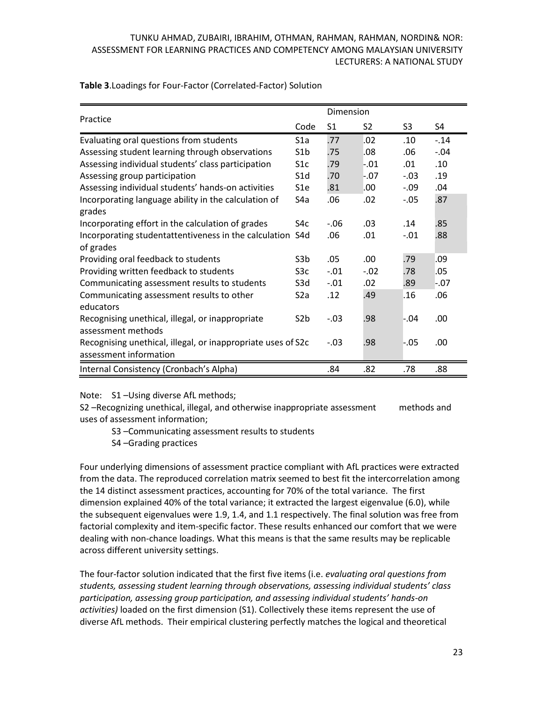| Table 3. Loadings for Four-Factor (Correlated-Factor) Solution |  |
|----------------------------------------------------------------|--|
|----------------------------------------------------------------|--|

| Practice                                                                               |                  | Dimension      |        |         |         |
|----------------------------------------------------------------------------------------|------------------|----------------|--------|---------|---------|
|                                                                                        | Code             | S <sub>1</sub> | S2     | S3      | S4      |
| Evaluating oral questions from students                                                | S1a              | .77            | .02    | .10     | $-.14$  |
| Assessing student learning through observations                                        | S <sub>1</sub> b | .75            | .08    | .06     | $-0.04$ |
| Assessing individual students' class participation                                     | S1c              | .79            | $-.01$ | .01     | .10     |
| Assessing group participation                                                          | S <sub>1</sub> d | .70            | $-.07$ | $-.03$  | .19     |
| Assessing individual students' hands-on activities                                     | S <sub>1e</sub>  | .81            | .00    | $-0.09$ | .04     |
| Incorporating language ability in the calculation of<br>grades                         | S4a              | .06            | .02    | $-.05$  | .87     |
| Incorporating effort in the calculation of grades                                      | S4c              | $-.06$         | .03    | .14     | .85     |
| Incorporating studentattentiveness in the calculation<br>of grades                     | S <sub>4</sub> d | .06            | .01    | $-.01$  | .88     |
| Providing oral feedback to students                                                    | S3b              | .05            | .00    | .79     | .09     |
| Providing written feedback to students                                                 | S3c              | $-.01$         | $-.02$ | .78     | .05     |
| Communicating assessment results to students                                           | S3d              | $-.01$         | .02    | .89     | $-.07$  |
| Communicating assessment results to other<br>educators                                 | S <sub>2</sub> a | .12            | .49    | .16     | .06     |
| Recognising unethical, illegal, or inappropriate<br>assessment methods                 | S <sub>2</sub> b | $-.03$         | .98    | -.04    | .00     |
| Recognising unethical, illegal, or inappropriate uses of S2c<br>assessment information |                  | $-.03$         | .98    | $-.05$  | .00     |
| Internal Consistency (Cronbach's Alpha)                                                |                  | .84            | .82    | .78     | .88     |

Note: S1 –Using diverse AfL methods;

S2 –Recognizing unethical, illegal, and otherwise inappropriate assessment methods and uses of assessment information;

- S3 –Communicating assessment results to students
- S4 –Grading practices

Four underlying dimensions of assessment practice compliant with AfL practices were extracted from the data. The reproduced correlation matrix seemed to best fit the intercorrelation among the 14 distinct assessment practices, accounting for 70% of the total variance. The first dimension explained 40% of the total variance; it extracted the largest eigenvalue (6.0), while the subsequent eigenvalues were 1.9, 1.4, and 1.1 respectively. The final solution was free from factorial complexity and item-specific factor. These results enhanced our comfort that we were dealing with non-chance loadings. What this means is that the same results may be replicable across different university settings.

The four-factor solution indicated that the first five items (i.e. *evaluating oral questions from students, assessing student learning through observations, assessing individual students' class participation, assessing group participation, and assessing individual students' hands-on activities)* loaded on the first dimension (S1). Collectively these items represent the use of diverse AfL methods. Their empirical clustering perfectly matches the logical and theoretical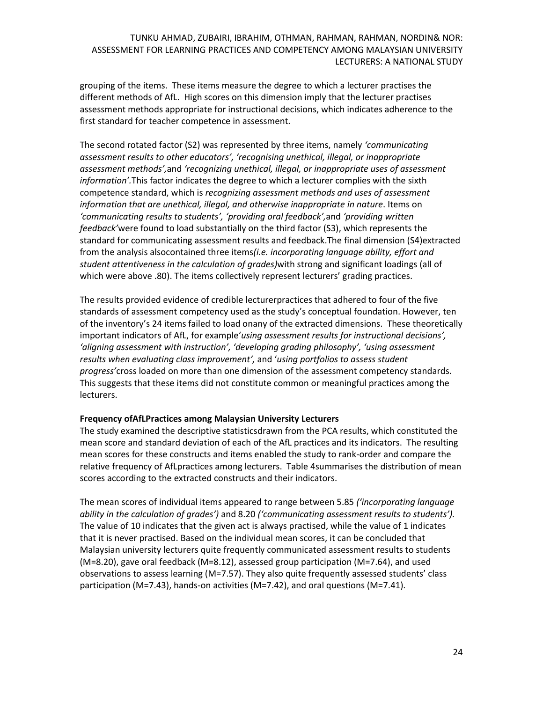grouping of the items. These items measure the degree to which a lecturer practises the different methods of AfL. High scores on this dimension imply that the lecturer practises assessment methods appropriate for instructional decisions, which indicates adherence to the first standard for teacher competence in assessment*.* 

The second rotated factor (S2) was represented by three items, namely *'communicating assessment results to other educators', 'recognising unethical, illegal, or inappropriate assessment methods',*and *'recognizing unethical, illegal, or inappropriate uses of assessment information'.*This factor indicates the degree to which a lecturer complies with the sixth competence standard, which is *recognizing assessment methods and uses of assessment information that are unethical, illegal, and otherwise inappropriate in nature*. Items on *'communicating results to students', 'providing oral feedback',*and *'providing written feedback'*were found to load substantially on the third factor (S3), which represents the standard for communicating assessment results and feedback.The final dimension (S4)extracted from the analysis alsocontained three items*(i.e. incorporating language ability, effort and student attentiveness in the calculation of grades)*with strong and significant loadings (all of which were above .80). The items collectively represent lecturers' grading practices.

The results provided evidence of credible lecturerpractices that adhered to four of the five standards of assessment competency used as the study's conceptual foundation. However, ten of the inventory's 24 items failed to load onany of the extracted dimensions. These theoretically important indicators of AfL, for example'*using assessment results for instructional decisions', 'aligning assessment with instruction', 'developing grading philosophy', 'using assessment results when evaluating class improvement',* and '*using portfolios to assess student progress'*cross loaded on more than one dimension of the assessment competency standards. This suggests that these items did not constitute common or meaningful practices among the lecturers.

### **Frequency ofAfLPractices among Malaysian University Lecturers**

The study examined the descriptive statisticsdrawn from the PCA results, which constituted the mean score and standard deviation of each of the AfL practices and its indicators. The resulting mean scores for these constructs and items enabled the study to rank-order and compare the relative frequency of AfLpractices among lecturers. Table 4summarises the distribution of mean scores according to the extracted constructs and their indicators.

The mean scores of individual items appeared to range between 5.85 *('incorporating language ability in the calculation of grades')* and 8.20 *('communicating assessment results to students').*  The value of 10 indicates that the given act is always practised, while the value of 1 indicates that it is never practised. Based on the individual mean scores, it can be concluded that Malaysian university lecturers quite frequently communicated assessment results to students (M=8.20), gave oral feedback (M=8.12), assessed group participation (M=7.64), and used observations to assess learning (M=7.57). They also quite frequently assessed students' class participation (M=7.43), hands-on activities (M=7.42), and oral questions (M=7.41).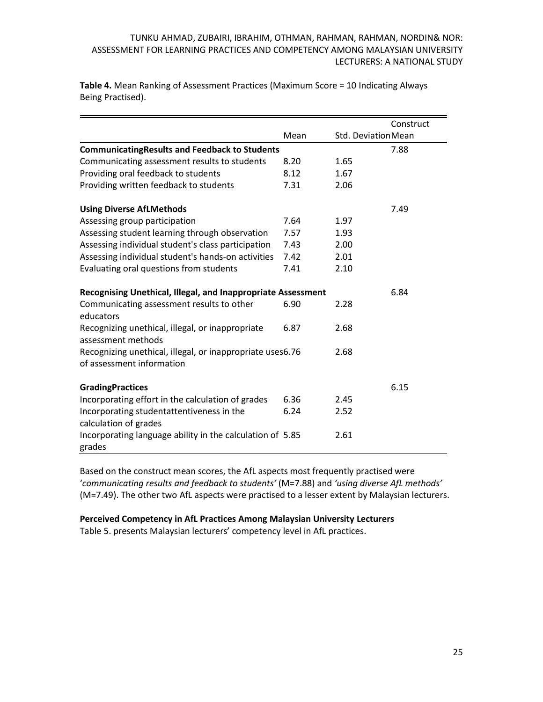|                                                                                        |      |      | Construct          |
|----------------------------------------------------------------------------------------|------|------|--------------------|
|                                                                                        | Mean |      | Std. DeviationMean |
| <b>CommunicatingResults and Feedback to Students</b>                                   |      |      | 7.88               |
| Communicating assessment results to students                                           | 8.20 | 1.65 |                    |
| Providing oral feedback to students                                                    | 8.12 | 1.67 |                    |
| Providing written feedback to students                                                 | 7.31 | 2.06 |                    |
| <b>Using Diverse AfLMethods</b>                                                        |      |      | 7.49               |
| Assessing group participation                                                          | 7.64 | 1.97 |                    |
| Assessing student learning through observation                                         | 7.57 | 1.93 |                    |
| Assessing individual student's class participation                                     | 7.43 | 2.00 |                    |
| Assessing individual student's hands-on activities                                     | 7.42 | 2.01 |                    |
| Evaluating oral questions from students                                                | 7.41 | 2.10 |                    |
| Recognising Unethical, Illegal, and Inappropriate Assessment                           |      |      | 6.84               |
| Communicating assessment results to other<br>educators                                 | 6.90 | 2.28 |                    |
| Recognizing unethical, illegal, or inappropriate<br>assessment methods                 | 6.87 | 2.68 |                    |
| Recognizing unethical, illegal, or inappropriate uses6.76<br>of assessment information |      | 2.68 |                    |
| <b>GradingPractices</b>                                                                |      |      | 6.15               |
| Incorporating effort in the calculation of grades                                      | 6.36 | 2.45 |                    |
| Incorporating studentattentiveness in the<br>calculation of grades                     | 6.24 | 2.52 |                    |
| Incorporating language ability in the calculation of 5.85<br>grades                    |      | 2.61 |                    |

**Table 4.** Mean Ranking of Assessment Practices (Maximum Score = 10 Indicating Always Being Practised).

Based on the construct mean scores, the AfL aspects most frequently practised were '*communicating results and feedback to students'* (M=7.88) and *'using diverse AfL methods'* (M=7.49). The other two AfL aspects were practised to a lesser extent by Malaysian lecturers.

### **Perceived Competency in AfL Practices Among Malaysian University Lecturers**

Table 5. presents Malaysian lecturers' competency level in AfL practices.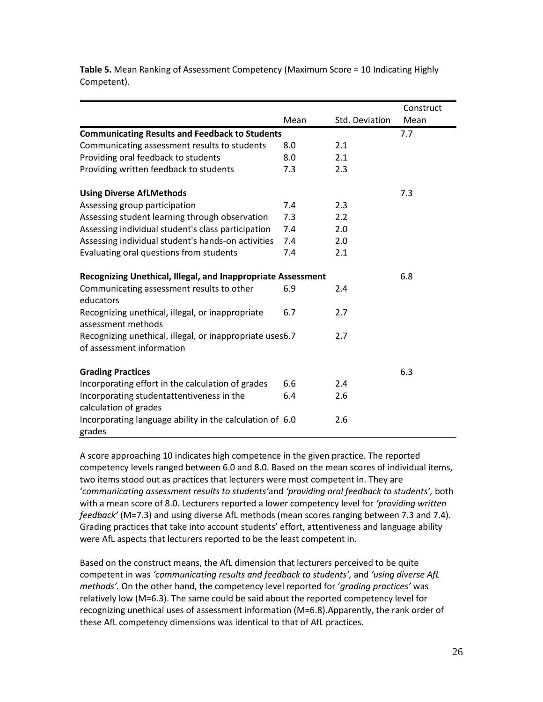|                                                                                       |      |                | Construct |
|---------------------------------------------------------------------------------------|------|----------------|-----------|
|                                                                                       | Mean | Std. Deviation | Mean      |
| <b>Communicating Results and Feedback to Students</b>                                 |      |                | 7.7       |
| Communicating assessment results to students                                          | 8.0  | 2.1            |           |
| Providing oral feedback to students                                                   | 8.0  | 2.1            |           |
| Providing written feedback to students                                                | 7.3  | 2.3            |           |
| <b>Using Diverse AfLMethods</b>                                                       |      |                | 7.3       |
| Assessing group participation                                                         | 7.4  | 2.3            |           |
| Assessing student learning through observation                                        | 7.3  | 2.2            |           |
| Assessing individual student's class participation                                    | 7.4  | 2.0            |           |
| Assessing individual student's hands-on activities                                    | 7.4  | 2.0            |           |
| Evaluating oral questions from students                                               | 7.4  | 2.1            |           |
| Recognizing Unethical, Illegal, and Inappropriate Assessment                          |      |                | 6.8       |
| Communicating assessment results to other<br>educators                                | 6.9  | 2.4            |           |
| Recognizing unethical, illegal, or inappropriate<br>assessment methods                | 6.7  | 2.7            |           |
| Recognizing unethical, illegal, or inappropriate uses6.7<br>of assessment information |      | 2.7            |           |
| <b>Grading Practices</b>                                                              |      |                | 6.3       |
| Incorporating effort in the calculation of grades                                     | 6.6  | 2.4            |           |
| Incorporating studentattentiveness in the<br>calculation of grades                    | 6.4  | 2.6            |           |
| Incorporating language ability in the calculation of 6.0<br>grades                    |      | 2.6            |           |

**Table 5.** Mean Ranking of Assessment Competency (Maximum Score = 10 Indicating Highly Competent).

A score approaching 10 indicates high competence in the given practice. The reported competency levels ranged between 6.0 and 8.0. Based on the mean scores of individual items, two items stood out as practices that lecturers were most competent in. They are '*communicating assessment results to students'*and *'providing oral feedback to students',* both with a mean score of 8.0. Lecturers reported a lower competency level for *'providing written feedback'* (M=7.3) and using diverse AfL methods (mean scores ranging between 7.3 and 7.4). Grading practices that take into account students' effort, attentiveness and language ability were AfL aspects that lecturers reported to be the least competent in.

Based on the construct means, the AfL dimension that lecturers perceived to be quite competent in was *'communicating results and feedback to students',* and *'using diverse AfL methods'.* On the other hand, the competency level reported for '*grading practices'* was relatively low (M=6.3). The same could be said about the reported competency level for recognizing unethical uses of assessment information (M=6.8).Apparently, the rank order of these AfL competency dimensions was identical to that of AfL practices.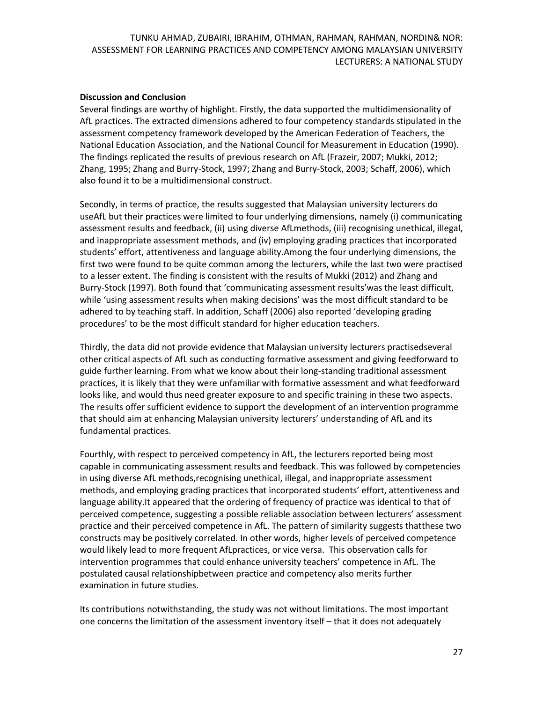#### **Discussion and Conclusion**

Several findings are worthy of highlight. Firstly, the data supported the multidimensionality of AfL practices. The extracted dimensions adhered to four competency standards stipulated in the assessment competency framework developed by the American Federation of Teachers, the National Education Association, and the National Council for Measurement in Education (1990). The findings replicated the results of previous research on AfL (Frazeir, 2007; Mukki, 2012; Zhang, 1995; Zhang and Burry-Stock, 1997; Zhang and Burry-Stock, 2003; Schaff, 2006), which also found it to be a multidimensional construct.

Secondly, in terms of practice, the results suggested that Malaysian university lecturers do useAfL but their practices were limited to four underlying dimensions, namely (i) communicating assessment results and feedback, (ii) using diverse AfLmethods, (iii) recognising unethical, illegal, and inappropriate assessment methods, and (iv) employing grading practices that incorporated students' effort, attentiveness and language ability.Among the four underlying dimensions, the first two were found to be quite common among the lecturers, while the last two were practised to a lesser extent. The finding is consistent with the results of Mukki (2012) and Zhang and Burry-Stock (1997). Both found that 'communicating assessment results'was the least difficult, while 'using assessment results when making decisions' was the most difficult standard to be adhered to by teaching staff. In addition, Schaff (2006) also reported 'developing grading procedures' to be the most difficult standard for higher education teachers.

Thirdly, the data did not provide evidence that Malaysian university lecturers practisedseveral other critical aspects of AfL such as conducting formative assessment and giving feedforward to guide further learning. From what we know about their long-standing traditional assessment practices, it is likely that they were unfamiliar with formative assessment and what feedforward looks like, and would thus need greater exposure to and specific training in these two aspects. The results offer sufficient evidence to support the development of an intervention programme that should aim at enhancing Malaysian university lecturers' understanding of AfL and its fundamental practices.

Fourthly, with respect to perceived competency in AfL, the lecturers reported being most capable in communicating assessment results and feedback. This was followed by competencies in using diverse AfL methods,recognising unethical, illegal, and inappropriate assessment methods, and employing grading practices that incorporated students' effort, attentiveness and language ability.It appeared that the ordering of frequency of practice was identical to that of perceived competence, suggesting a possible reliable association between lecturers' assessment practice and their perceived competence in AfL. The pattern of similarity suggests thatthese two constructs may be positively correlated. In other words, higher levels of perceived competence would likely lead to more frequent AfLpractices, or vice versa. This observation calls for intervention programmes that could enhance university teachers' competence in AfL. The postulated causal relationshipbetween practice and competency also merits further examination in future studies.

Its contributions notwithstanding, the study was not without limitations. The most important one concerns the limitation of the assessment inventory itself – that it does not adequately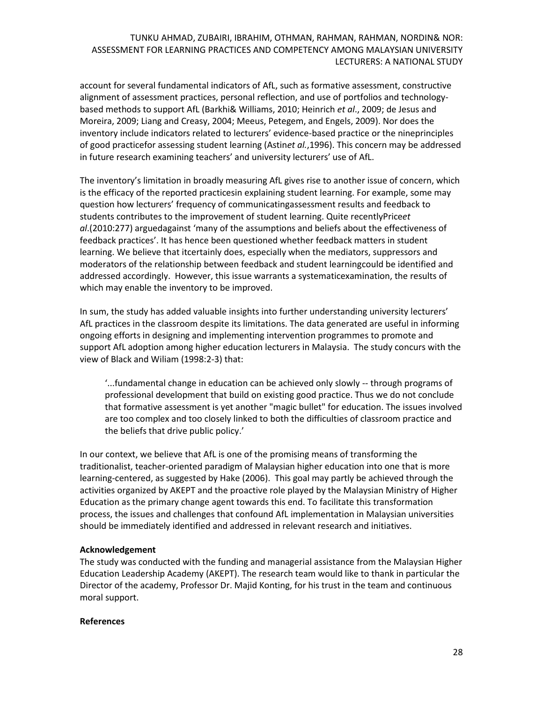account for several fundamental indicators of AfL, such as formative assessment, constructive alignment of assessment practices, personal reflection, and use of portfolios and technologybased methods to support AfL (Barkhi& Williams, 2010; Heinrich *et al*., 2009; de Jesus and Moreira, 2009; Liang and Creasy, 2004; Meeus, Petegem, and Engels, 2009). Nor does the inventory include indicators related to lecturers' evidence-based practice or the nineprinciples of good practicefor assessing student learning (Astin*et al.*,1996). This concern may be addressed in future research examining teachers' and university lecturers' use of AfL.

The inventory's limitation in broadly measuring AfL gives rise to another issue of concern, which is the efficacy of the reported practicesin explaining student learning. For example, some may question how lecturers' frequency of communicatingassessment results and feedback to students contributes to the improvement of student learning. Quite recentlyPrice*et al*.(2010:277) arguedagainst 'many of the assumptions and beliefs about the effectiveness of feedback practices'. It has hence been questioned whether feedback matters in student learning. We believe that itcertainly does, especially when the mediators, suppressors and moderators of the relationship between feedback and student learningcould be identified and addressed accordingly. However, this issue warrants a systematicexamination, the results of which may enable the inventory to be improved.

In sum, the study has added valuable insights into further understanding university lecturers' AfL practices in the classroom despite its limitations. The data generated are useful in informing ongoing efforts in designing and implementing intervention programmes to promote and support AfL adoption among higher education lecturers in Malaysia. The study concurs with the view of Black and Wiliam (1998:2-3) that:

'...fundamental change in education can be achieved only slowly -- through programs of professional development that build on existing good practice. Thus we do not conclude that formative assessment is yet another "magic bullet" for education. The issues involved are too complex and too closely linked to both the difficulties of classroom practice and the beliefs that drive public policy.'

In our context, we believe that AfL is one of the promising means of transforming the traditionalist, teacher-oriented paradigm of Malaysian higher education into one that is more learning-centered, as suggested by Hake (2006). This goal may partly be achieved through the activities organized by AKEPT and the proactive role played by the Malaysian Ministry of Higher Education as the primary change agent towards this end. To facilitate this transformation process, the issues and challenges that confound AfL implementation in Malaysian universities should be immediately identified and addressed in relevant research and initiatives.

#### **Acknowledgement**

The study was conducted with the funding and managerial assistance from the Malaysian Higher Education Leadership Academy (AKEPT). The research team would like to thank in particular the Director of the academy, Professor Dr. Majid Konting, for his trust in the team and continuous moral support.

#### **References**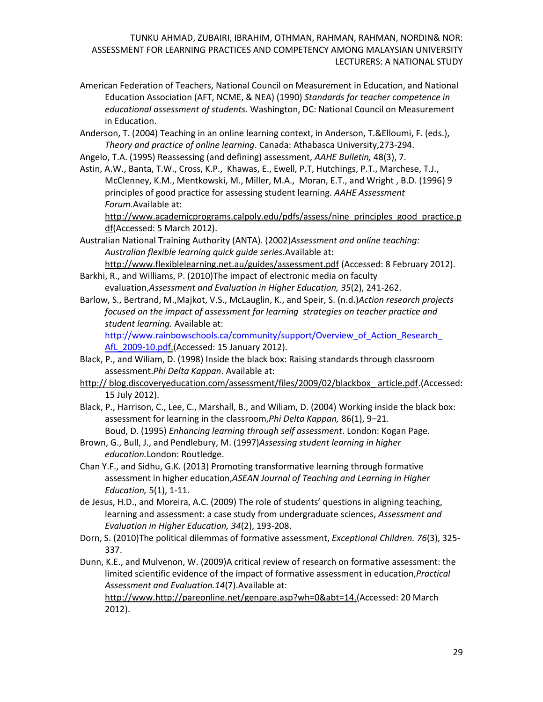- American Federation of Teachers, National Council on Measurement in Education, and National Education Association (AFT, NCME, & NEA) (1990) *Standards for teacher competence in educational assessment of students*. Washington, DC: National Council on Measurement in Education.
- Anderson, T. (2004) Teaching in an online learning context, in Anderson, T.&Elloumi, F. (eds.), *Theory and practice of online learning*. Canada: Athabasca University,273-294.
- Angelo, T.A. (1995) Reassessing (and defining) assessment, *AAHE Bulletin,* 48(3), 7.
- Astin, A.W., Banta, T.W., Cross, K.P., Khawas, E., Ewell, P.T, Hutchings, P.T., Marchese, T.J., McClenney, K.M., Mentkowski, M., Miller, M.A., Moran, E.T., and Wright , B.D. (1996) 9 principles of good practice for assessing student learning. *AAHE Assessment Forum.*Available at:

[http://www.academicprograms.calpoly.edu/pdfs/assess/nine\\_principles\\_good\\_practice.p](http://www.academicprograms.calpoly.edu/pdfs/assess/nine_principles_good_practice.pdf) [df\(](http://www.academicprograms.calpoly.edu/pdfs/assess/nine_principles_good_practice.pdf)Accessed: 5 March 2012).

- Australian National Training Authority (ANTA). (2002)*Assessment and online teaching: Australian flexible learning quick guide series.*Available at:
- <http://www.flexiblelearning.net.au/guides/assessment.pdf> (Accessed: 8 February 2012). Barkhi, R., and Williams, P. (2010)The impact of electronic media on faculty
- evaluation,*Assessment and Evaluation in Higher Education, 35*(2), 241-262.
- Barlow, S., Bertrand, M.,Majkot, V.S., McLauglin, K., and Speir, S. (n.d.)*Action research projects focused on the impact of assessment for learning strategies on teacher practice and student learning.* Available at:

http://www.rainbowschools.ca/community/support/Overview\_of\_Action\_Research\_ AfL 2009-10.pdf.(Accessed: 15 January 2012).

- Black, P., and Wiliam, D. (1998) Inside the black box: Raising standards through classroom assessment.*Phi Delta Kappan*. Available at:
- http:// blog.discoveryeducation.com/assessment/files/2009/02/blackbox\_ article.pdf.(Accessed: 15 July 2012).
- Black, P., Harrison, C., Lee, C., Marshall, B., and Wiliam, D. (2004) Working inside the black box: assessment for learning in the classroom,*Phi Delta Kappan,* 86(1), 9–21. Boud, D. (1995) *Enhancing learning through self assessment*. London: Kogan Page.
- Brown, G., Bull, J., and Pendlebury, M. (1997)*Assessing student learning in higher education.*London: Routledge.
- Chan Y.F., and Sidhu, G.K. (2013) Promoting transformative learning through formative assessment in higher education,*ASEAN Journal of Teaching and Learning in Higher Education,* 5(1), 1-11.
- de Jesus, H.D., and Moreira, A.C. (2009) The role of students' questions in aligning teaching, learning and assessment: a case study from undergraduate sciences, *Assessment and Evaluation in Higher Education, 34*(2), 193-208.
- Dorn, S. (2010)The political dilemmas of formative assessment, *Exceptional Children. 76*(3), 325- 337.
- Dunn, K.E., and Mulvenon, W. (2009)A critical review of research on formative assessment: the limited scientific evidence of the impact of formative assessment in education,*Practical Assessment and Evaluation.14*(7).Available at:

http://www[.http://pareonline.net/genpare.asp?wh=0&abt=](http://pareonline.net/genpare.asp?wh=0&abt)14.(Accessed: 20 March 2012).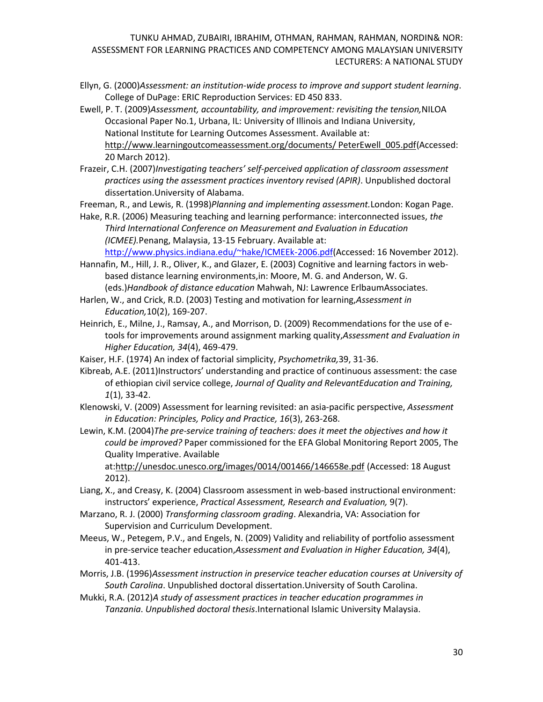Ellyn, G. (2000)*Assessment: an institution-wide process to improve and support student learning*. College of DuPage: ERIC Reproduction Services: ED 450 833.

Ewell, P. T. (2009)*[Assessment, accountability, and improvement: revisiting the tension,](http://www.learningoutcomeassessment.org/documents/PeterEwell_006.pdf)*NILOA Occasional Paper No.1, Urbana, IL: University of Illinois and Indiana University, National Institute for Learning Outcomes Assessment. Available at: [http://www.learningoutcomeassessment.org/documents/ PeterEwell\\_005.pdf\(](http://www.learningoutcomeassessment.org/documents/%20PeterEwell_005.pdf)Accessed: 20 March 2012).

Frazeir, C.H. (2007)*Investigating teachers' self-perceived application of classroom assessment practices using the assessment practices inventory revised (APIR)*. Unpublished doctoral dissertation.University of Alabama.

Freeman, R., and Lewis, R. (1998)*Planning and implementing assessment.*London: Kogan Page.

Hake, R.R. (2006) Measuring teaching and learning performance: interconnected issues, *the Third International Conference on Measurement and Evaluation in Education (ICMEE).*Penang, Malaysia, 13-15 February. Available at: [http://www.physics.indiana.edu/~hake/ICMEEk-2006.pdf\(](http://www.physics.indiana.edu/~hake/ICMEEk-2006.pdf)Accessed: 16 November 2012).

Hannafin, M., Hill, J. R., Oliver, K., and Glazer, E. (2003) Cognitive and learning factors in webbased distance learning environments,in: Moore, M. G. and Anderson, W. G. (eds.)*Handbook of distance education* Mahwah, NJ: Lawrence ErlbaumAssociates.

Harlen, W., and Crick, R.D. (2003) Testing and motivation for learning,*Assessment in Education,*10(2), 169-207.

Heinrich, E., Milne, J., Ramsay, A., and Morrison, D. (2009) Recommendations for the use of e‐ tools for improvements around assignment marking quality,*Assessment and Evaluation in Higher Education, 34*(4), 469-479.

Kaiser, H.F. (1974) An index of factorial simplicity, *Psychometrika,*39, 31-36.

Kibreab, A.E. (2011)Instructors' understanding and practice of continuous assessment: the case of ethiopian civil service college, *Journal of Quality and RelevantEducation and Training, 1*(1), 33-42.

Klenowski, V. (2009) Assessment for learning revisited: an asia-pacific perspective, *Assessment in Education: Principles, Policy and Practice, 16*(3), 263-268.

Lewin, K.M. (2004)*The pre-service training of teachers: does it meet the objectives and how it could be improved?* Paper commissioned for the EFA Global Monitoring Report 2005, The Quality Imperative. Available

at[:http://unesdoc.unesco.org/images/0014/001466/146658e.pdf](http://unesdoc.unesco.org/images/0014/001466/146658e.pdf) (Accessed: 18 August 2012).

Liang, X., and Creasy, K. (2004) Classroom assessment in web-based instructional environment: instructors' experience, *Practical Assessment, Research and Evaluation,* 9(7).

Marzano, R. J. (2000) *Transforming classroom grading*. Alexandria, VA: Association for Supervision and Curriculum Development.

Meeus, W., Petegem, P.V., and Engels, N. (2009) Validity and reliability of portfolio assessment in pre‐service teacher education,*Assessment and Evaluation in Higher Education, 34*(4), 401-413.

Morris, J.B. (1996)*Assessment instruction in preservice teacher education courses at University of South Carolina*. Unpublished doctoral dissertation.University of South Carolina.

Mukki, R.A. (2012)*A study of assessment practices in teacher education programmes in Tanzania*. *Unpublished doctoral thesis*.International Islamic University Malaysia.